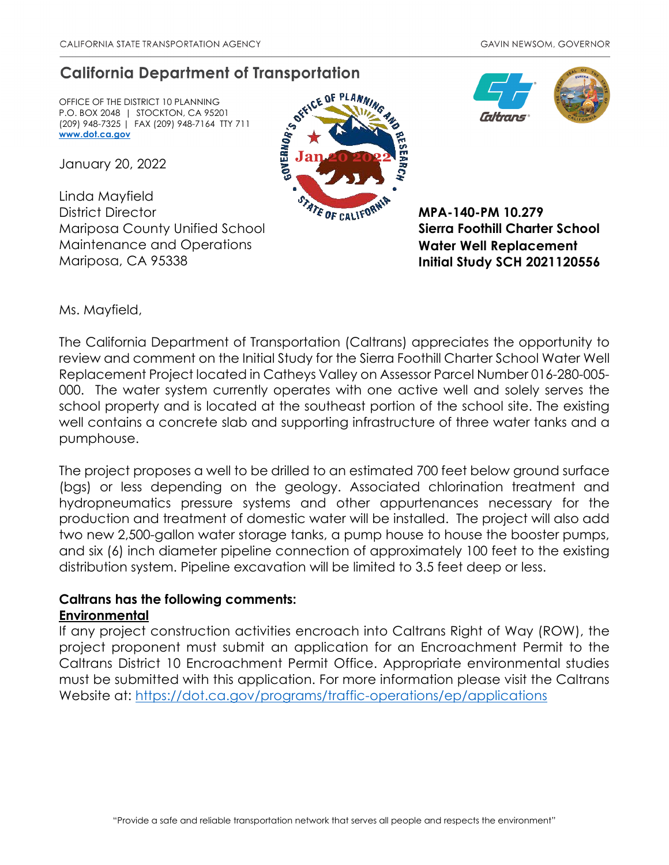## **California Department of Transportation**

OFFICE OF THE DISTRICT 10 PLANNING P.O. BOX 2048 | STOCKTON, CA 95201 (209) 948-7325 | FAX (209) 948-7164 TTY 711 **[www.dot.ca.gov](http://www.dot.ca.gov/)**

January 20, 2022

Linda Mayfield District Director Mariposa County Unified School Maintenance and Operations Mariposa, CA 95338





**MPA-140-PM 10.279 Sierra Foothill Charter School Water Well Replacement Initial Study SCH 2021120556**

Ms. Mayfield,

The California Department of Transportation (Caltrans) appreciates the opportunity to review and comment on the Initial Study for the Sierra Foothill Charter School Water Well Replacement Project located in Catheys Valley on Assessor Parcel Number 016-280-005- 000. The water system currently operates with one active well and solely serves the school property and is located at the southeast portion of the school site. The existing well contains a concrete slab and supporting infrastructure of three water tanks and a pumphouse.

The project proposes a well to be drilled to an estimated 700 feet below ground surface (bgs) or less depending on the geology. Associated chlorination treatment and hydropneumatics pressure systems and other appurtenances necessary for the production and treatment of domestic water will be installed. The project will also add two new 2,500-gallon water storage tanks, a pump house to house the booster pumps, and six (6) inch diameter pipeline connection of approximately 100 feet to the existing distribution system. Pipeline excavation will be limited to 3.5 feet deep or less.

## **Caltrans has the following comments: Environmental**

If any project construction activities encroach into Caltrans Right of Way (ROW), the project proponent must submit an application for an Encroachment Permit to the Caltrans District 10 Encroachment Permit Office. Appropriate environmental studies must be submitted with this application. For more information please visit the Caltrans Website at:<https://dot.ca.gov/programs/traffic-operations/ep/applications>